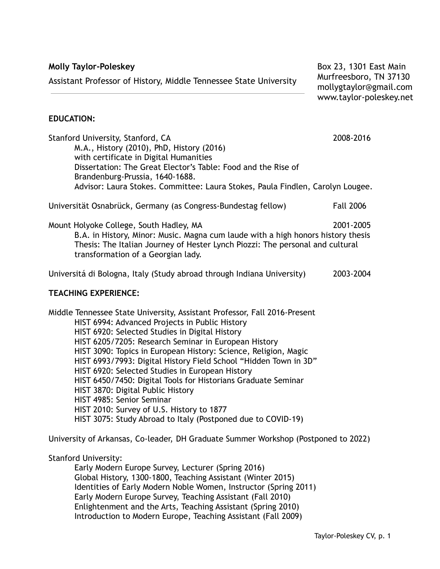**Molly Taylor-Poleskey** Assistant Professor of History, Middle Tennessee State University

Box 23, 1301 East Main Murfreesboro, TN 37130 mollygtaylor@gmail.com www.taylor-poleskey.net

### **EDUCATION:**

Stanford University, Stanford, CA 2008-2016 M.A., History (2010), PhD, History (2016) with certificate in Digital Humanities Dissertation: The Great Elector's Table: Food and the Rise of Brandenburg-Prussia, 1640-1688. Advisor: Laura Stokes. Committee: Laura Stokes, Paula Findlen, Carolyn Lougee. Universität Osnabrück, Germany (as Congress-Bundestag fellow) Fall 2006 Mount Holyoke College, South Hadley, MA 2001-2005 B.A. in History, Minor: Music. Magna cum laude with a high honors history thesis Thesis: The Italian Journey of Hester Lynch Piozzi: The personal and cultural transformation of a Georgian lady. Universitá di Bologna, Italy (Study abroad through Indiana University) 2003-2004 **TEACHING EXPERIENCE:** Middle Tennessee State University, Assistant Professor, Fall 2016-Present HIST 6994: Advanced Projects in Public History HIST 6920: Selected Studies in Digital History HIST 6205/7205: Research Seminar in European History HIST 3090: Topics in European History: Science, Religion, Magic HIST 6993/7993: Digital History Field School "Hidden Town in 3D" HIST 6920: Selected Studies in European History HIST 6450/7450: Digital Tools for Historians Graduate Seminar HIST 3870: Digital Public History HIST 4985: Senior Seminar HIST 2010: Survey of U.S. History to 1877 HIST 3075: Study Abroad to Italy (Postponed due to COVID-19)

University of Arkansas, Co-leader, DH Graduate Summer Workshop (Postponed to 2022)

#### Stanford University:

Early Modern Europe Survey, Lecturer (Spring 2016) Global History, 1300-1800, Teaching Assistant (Winter 2015) Identities of Early Modern Noble Women, Instructor (Spring 2011) Early Modern Europe Survey, Teaching Assistant (Fall 2010) Enlightenment and the Arts, Teaching Assistant (Spring 2010) Introduction to Modern Europe, Teaching Assistant (Fall 2009)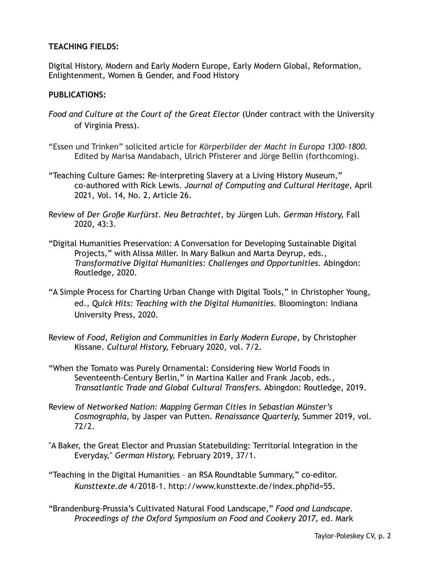### **TEACHING FIELDS:**

Digital History, Modern and Early Modern Europe, Early Modern Global, Reformation, Enlightenment, Women & Gender, and Food History

#### **PUBLICATIONS:**

- *Food and Culture at the Court of the Great Elector* (Under contract with the University of Virginia Press).
- "Essen und Trinken" solicited article for *Körperbilder der Macht in Europa 1300-1800.* Edited by Marisa Mandabach, Ulrich Pfisterer and Jörge Bellin (forthcoming).
- "Teaching Culture Games: Re-interpreting Slavery at a Living History Museum," co-authored with Rick Lewis. *Journal of Computing and Cultural Heritage,* April 2021, Vol. 14, No. 2, Article 26.
- Review of *Der Große Kurfürst. Neu Betrachtet,* by Jürgen Luh. *German History,* Fall 2020, 43:3.
- "Digital Humanities Preservation: A Conversation for Developing Sustainable Digital Projects," with Alissa Miller. In Mary Balkun and Marta Deyrup, eds., *Transformative Digital Humanities: Challenges and Opportunities.* Abingdon: Routledge, 2020.
- "A Simple Process for Charting Urban Change with Digital Tools," in Christopher Young, ed., *Quick Hits: Teaching with the Digital Humanities.* Bloomington: Indiana University Press*,* 2020.
- Review of *Food, Religion and Communities in Early Modern Europe*, by Christopher Kissane. *Cultural History,* February 2020, vol. 7/2.
- "When the Tomato was Purely Ornamental: Considering New World Foods in Seventeenth-Century Berlin," in Martina Kaller and Frank Jacob, eds., *Transatlantic Trade and Global Cultural Transfers.* Abingdon: Routledge, 2019.
- Review of *Networked Nation: Mapping German Cities in Sebastian Münster's Cosmographia,* by Jasper van Putten. *Renaissance Quarterly,* Summer 2019, vol. 72/2.
- "A Baker, the Great Elector and Prussian Statebuilding: Territorial Integration in the Everyday," *German History,* February 2019, 37/1.
- "Teaching in the Digital Humanities an RSA Roundtable Summary," co-editor. *Kunsttexte.de* 4/2018-1. http://www.kunsttexte.de/index.php?id=55.
- "Brandenburg-Prussia's Cultivated Natural Food Landscape," *Food and Landscape. Proceedings of the Oxford Symposium on Food and Cookery 2017,* ed. Mark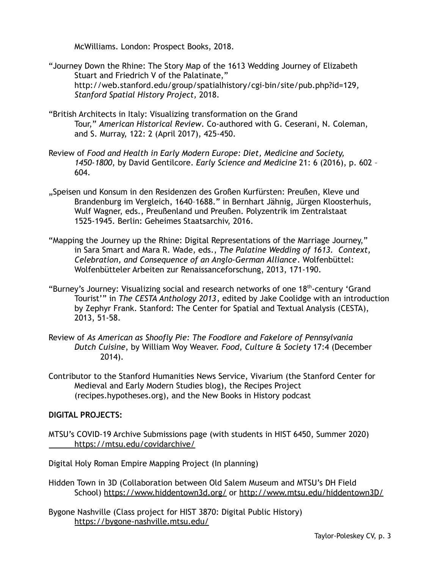McWilliams. London: Prospect Books, 2018.

- "Journey Down the Rhine: The Story Map of the 1613 Wedding Journey of Elizabeth Stuart and Friedrich V of the Palatinate," http://web.stanford.edu/group/spatialhistory/cgi-bin/site/pub.php?id=129*, Stanford Spatial History Project,* 2018.
- "British Architects in Italy: Visualizing transformation on the Grand Tour," *American Historical Review*. Co-authored with G. Ceserani, N. Coleman, and S. Murray, 122: 2 (April 2017), 425-450.
- Review of *Food and Health in Early Modern Europe: Diet, Medicine and Society, 1450-1800*, by David Gentilcore. *Early Science and Medicine* [21:](http://booksandjournals.brillonline.com/content/journals/15733823/21/6) 6 (2016), p. 602 – 604.
- "Speisen und Konsum in den Residenzen des Großen Kurfürsten: Preußen, Kleve und Brandenburg im Vergleich, 1640–1688." in Bernhart Jähnig, Jürgen Kloosterhuis, Wulf Wagner, eds., Preußenland und Preußen. Polyzentrik im Zentralstaat 1525-1945. Berlin: Geheimes Staatsarchiv, 2016.
- "Mapping the Journey up the Rhine: Digital Representations of the Marriage Journey," in Sara Smart and Mara R. Wade, eds., *The Palatine Wedding of 1613. Context, Celebration, and Consequence of an Anglo-German Alliance*. Wolfenbüttel: Wolfenbütteler Arbeiten zur Renaissanceforschung, 2013, 171-190.
- "Burney's Journey: Visualizing social and research networks of one 18<sup>th</sup>-century 'Grand Tourist'" in *The CESTA Anthology 2013*, edited by Jake Coolidge with an introduction by Zephyr Frank. Stanford: The Center for Spatial and Textual Analysis (CESTA), 2013, 51-58.
- Review of *As American as Shoofly Pie: The Foodlore and Fakelore of Pennsylvania Dutch Cuisine*, by William Woy Weaver. *Food, Culture & Society* 17:4 (December 2014).
- Contributor to the Stanford Humanities News Service, Vivarium (the Stanford Center for Medieval and Early Modern Studies blog), the Recipes Project (recipes.hypotheses.org), and the New Books in History podcast

### **DIGITAL PROJECTS:**

MTSU's COVID-19 Archive Submissions page (with students in HIST 6450, Summer 2020) <https://mtsu.edu/covidarchive/>

Digital Holy Roman Empire Mapping Project (In planning)

- Hidden Town in 3D (Collaboration between Old Salem Museum and MTSU's DH Field School) <https://www.hiddentown3d.org/> or <http://www.mtsu.edu/hiddentown3D/>
- Bygone Nashville (Class project for HIST 3870: Digital Public History) <https://bygone-nashville.mtsu.edu/>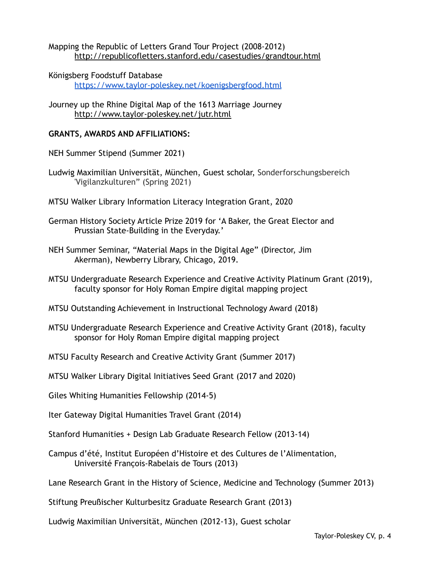### Mapping the Republic of Letters Grand Tour Project (2008-2012) <http://republicofletters.stanford.edu/casestudies/grandtour.html>

- Königsberg Foodstuff Database <https://www.taylor-poleskey.net/koenigsbergfood.html>
- Journey up the Rhine Digital Map of the 1613 Marriage Journey <http://www.taylor-poleskey.net/jutr.html>

### **GRANTS, AWARDS AND AFFILIATIONS:**

- NEH Summer Stipend (Summer 2021)
- Ludwig Maximilian Universität, München, Guest scholar, Sonderforschungsbereich 'Vigilanzkulturen" (Spring 2021)
- MTSU Walker Library Information Literacy Integration Grant, 2020
- German History Society Article Prize 2019 for 'A Baker, the Great Elector and Prussian State-Building in the Everyday.'
- NEH Summer Seminar, "Material Maps in the Digital Age" (Director, Jim Akerman), Newberry Library, Chicago, 2019.
- MTSU Undergraduate Research Experience and Creative Activity Platinum Grant (2019), faculty sponsor for Holy Roman Empire digital mapping project
- MTSU Outstanding Achievement in Instructional Technology Award (2018)
- MTSU Undergraduate Research Experience and Creative Activity Grant (2018), faculty sponsor for Holy Roman Empire digital mapping project
- MTSU Faculty Research and Creative Activity Grant (Summer 2017)
- MTSU Walker Library Digital Initiatives Seed Grant (2017 and 2020)
- Giles Whiting Humanities Fellowship (2014-5)
- Iter Gateway Digital Humanities Travel Grant (2014)
- Stanford Humanities + Design Lab Graduate Research Fellow (2013-14)
- Campus d'été, Institut Européen d'Histoire et des Cultures de l'Alimentation, Université François-Rabelais de Tours (2013)
- Lane Research Grant in the History of Science, Medicine and Technology (Summer 2013)

Stiftung Preußischer Kulturbesitz Graduate Research Grant (2013)

Ludwig Maximilian Universität, München (2012-13), Guest scholar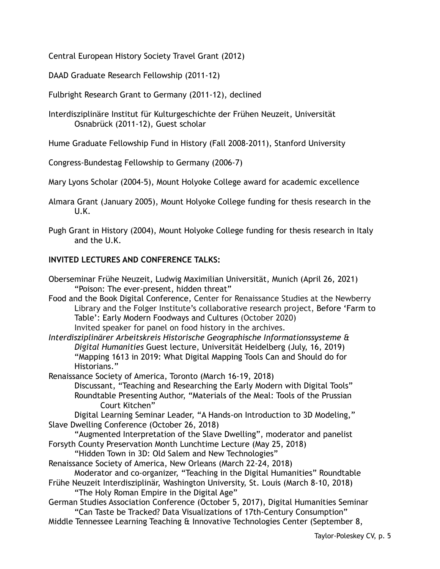Central European History Society Travel Grant (2012)

DAAD Graduate Research Fellowship (2011-12)

Fulbright Research Grant to Germany (2011-12), declined

Interdisziplinäre Institut für Kulturgeschichte der Frühen Neuzeit, Universität Osnabrück (2011-12), Guest scholar

Hume Graduate Fellowship Fund in History (Fall 2008-2011), Stanford University

Congress-Bundestag Fellowship to Germany (2006-7)

Mary Lyons Scholar (2004-5), Mount Holyoke College award for academic excellence

Almara Grant (January 2005), Mount Holyoke College funding for thesis research in the U.K.

Pugh Grant in History (2004), Mount Holyoke College funding for thesis research in Italy and the U.K.

### **INVITED LECTURES AND CONFERENCE TALKS:**

Oberseminar Frühe Neuzeit, Ludwig Maximilian Universität, Munich (April 26, 2021) "Poison: The ever-present, hidden threat"

Food and the Book Digital Conference, Center for Renaissance Studies at the Newberry Library and the Folger Institute's collaborative research project, [Before](https://www.folger.edu/before-farm-to-table-early-modern-foodways-cultures) 'Farm to Table': Early Modern [Foodways](https://www.folger.edu/before-farm-to-table-early-modern-foodways-cultures) and Cultures (October 2020) Invited speaker for panel on food history in the archives.

*Interdisziplinärer Arbeitskreis Historische Geographische Informationssysteme & Digital Humanities* Guest lecture, Universität Heidelberg (July, 16, 2019) "Mapping 1613 in 2019: What Digital Mapping Tools Can and Should do for Historians."

Renaissance Society of America, Toronto (March 16-19, 2018)

Discussant, "Teaching and Researching the Early Modern with Digital Tools" Roundtable Presenting Author, "Materials of the Meal: Tools of the Prussian Court Kitchen"

Digital Learning Seminar Leader, "A Hands-on Introduction to 3D Modeling," Slave Dwelling Conference (October 26, 2018)

"Augmented Interpretation of the Slave Dwelling", moderator and panelist Forsyth County Preservation Month Lunchtime Lecture (May 25, 2018)

"Hidden Town in 3D: Old Salem and New Technologies"

Renaissance Society of America, New Orleans (March 22-24, 2018)

Moderator and co-organizer, "Teaching in the Digital Humanities" Roundtable Frühe Neuzeit Interdisziplinär, Washington University, St. Louis (March 8-10, 2018)

"The Holy Roman Empire in the Digital Age"

German Studies Association Conference (October 5, 2017), Digital Humanities Seminar "Can Taste be Tracked? Data Visualizations of 17th-Century Consumption"

Middle Tennessee Learning Teaching & Innovative Technologies Center (September 8,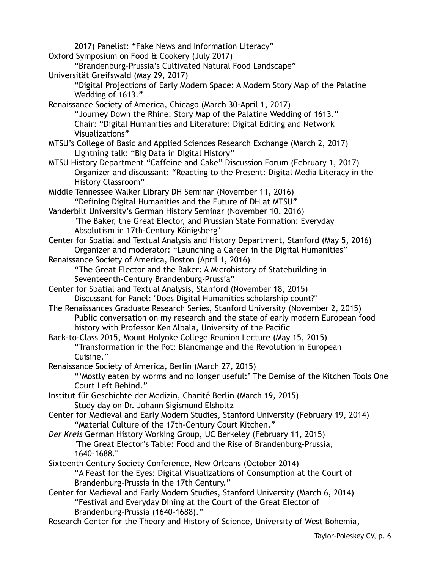2017) Panelist: "Fake News and Information Literacy" Oxford Symposium on Food & Cookery (July 2017) "Brandenburg-Prussia's Cultivated Natural Food Landscape" Universität Greifswald (May 29, 2017) "Digital Projections of Early Modern Space: A Modern Story Map of the Palatine Wedding of 1613." Renaissance Society of America, Chicago (March 30-April 1, 2017) "Journey Down the Rhine: Story Map of the Palatine Wedding of 1613." Chair: "Digital Humanities and Literature: Digital Editing and Network Visualizations" MTSU's College of Basic and Applied Sciences Research Exchange (March 2, 2017) Lightning talk: "Big Data in Digital History" MTSU History Department "Caffeine and Cake" Discussion Forum (February 1, 2017) Organizer and discussant: "Reacting to the Present: Digital Media Literacy in the History Classroom" Middle Tennessee Walker Library DH Seminar (November 11, 2016) "Defining Digital Humanities and the Future of DH at MTSU" Vanderbilt University's German History Seminar (November 10, 2016) "The Baker, the Great Elector, and Prussian State Formation: Everyday Absolutism in 17th-Century Königsberg" Center for Spatial and Textual Analysis and History Department, Stanford (May 5, 2016) Organizer and moderator: "Launching a Career in the Digital Humanities" Renaissance Society of America, Boston (April 1, 2016) "The Great Elector and the Baker: A Microhistory of Statebuilding in Seventeenth-Century Brandenburg-Prussia" Center for Spatial and Textual Analysis, Stanford (November 18, 2015) Discussant for Panel: "Does Digital Humanities scholarship count?" The Renaissances Graduate Research Series, Stanford University (November 2, 2015) Public conversation on my research and the state of early modern European food history with Professor Ken Albala, University of the Pacific Back-to-Class 2015, Mount Holyoke College Reunion Lecture (May 15, 2015) "Transformation in the Pot: Blancmange and the Revolution in European Cuisine." Renaissance Society of America, Berlin (March 27, 2015) "'Mostly eaten by worms and no longer useful:' The Demise of the Kitchen Tools One Court Left Behind." Institut für Geschichte der Medizin, Charité Berlin (March 19, 2015) Study day on Dr. Johann Sigismund Elsholtz Center for Medieval and Early Modern Studies, Stanford University (February 19, 2014) "Material Culture of the 17th-Century Court Kitchen." *Der Kreis* German History Working Group, UC Berkeley (February 11, 2015) "The Great Elector's Table: Food and the Rise of Brandenburg-Prussia, 1640-1688." Sixteenth Century Society Conference, New Orleans (October 2014) "A Feast for the Eyes: Digital Visualizations of Consumption at the Court of Brandenburg-Prussia in the 17th Century." Center for Medieval and Early Modern Studies, Stanford University (March 6, 2014) "Festival and Everyday Dining at the Court of the Great Elector of Brandenburg-Prussia (1640-1688)." Research Center for the Theory and History of Science, University of West Bohemia,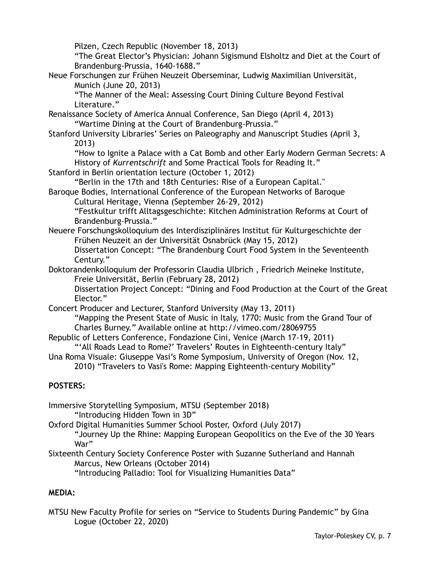Pilzen, Czech Republic (November 18, 2013)

"The Great Elector's Physician: Johann Sigismund Elsholtz and Diet at the Court of Brandenburg-Prussia, 1640-1688."

Neue Forschungen zur Frühen Neuzeit Oberseminar, Ludwig Maximilian Universität, Munich (June 20, 2013)

"The Manner of the Meal: Assessing Court Dining Culture Beyond Festival Literature."

- Renaissance Society of America Annual Conference, San Diego (April 4, 2013) "Wartime Dining at the Court of Brandenburg-Prussia."
- Stanford University Libraries' Series on Paleography and Manuscript Studies (April 3, 2013)

"How to Ignite a Palace with a Cat Bomb and other Early Modern German Secrets: A History of *Kurrentschrift* and Some Practical Tools for Reading It."

Stanford in Berlin orientation lecture (October 1, 2012)

"Berlin in the 17th and 18th Centuries: Rise of a European Capital."

Baroque Bodies, International Conference of the European Networks of Baroque Cultural Heritage, Vienna (September 26-29, 2012)

"Festkultur trifft Alltagsgeschichte: Kitchen Administration Reforms at Court of Brandenburg-Prussia."

Neuere Forschungskolloquium des Interdisziplinäres Institut für Kulturgeschichte der Frühen Neuzeit an der Universität Osnabrück (May 15, 2012)

Dissertation Concept: "The Brandenburg Court Food System in the Seventeenth Century."

Doktorandenkolloquium der Professorin Claudia Ulbrich , Friedrich Meineke Institute, Freie Universität, Berlin (February 28, 2012)

Dissertation Project Concept: "Dining and Food Production at the Court of the Great Elector."

Concert Producer and Lecturer, Stanford University (May 13, 2011)

"Mapping the Present State of Music in Italy, 1770: Music from the Grand Tour of Charles Burney." Available online at http://vimeo.com/28069755

Republic of Letters Conference, Fondazione Cini, Venice (March 17-19, 2011)

"'All Roads Lead to Rome?' Travelers' Routes in Eighteenth-century Italy"

Una Roma Visuale: Giuseppe Vasi's Rome Symposium, University of Oregon (Nov. 12, 2010) "Travelers to Vasi's Rome: Mapping Eighteenth-century Mobility"

# **POSTERS:**

- Immersive Storytelling Symposium, MTSU (September 2018) "Introducing Hidden Town in 3D"
- Oxford Digital Humanities Summer School Poster, Oxford (July 2017) "Journey Up the Rhine: Mapping European Geopolitics on the Eve of the 30 Years

War"

Sixteenth Century Society Conference Poster with Suzanne Sutherland and Hannah Marcus, New Orleans (October 2014)

"Introducing Palladio: Tool for Visualizing Humanities Data"

# **MEDIA:**

MTSU New Faculty Profile for series on "Service to Students During Pandemic" by Gina Logue (October 22, 2020)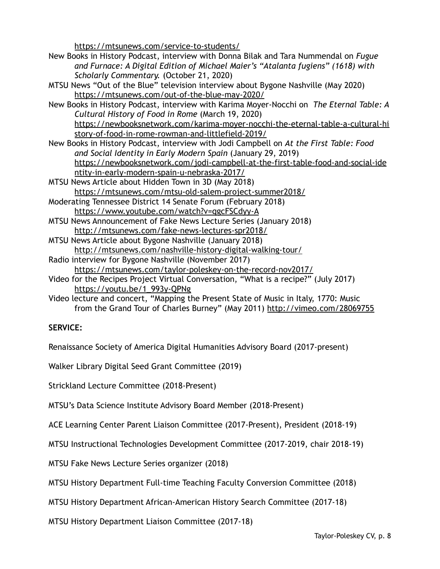<https://mtsunews.com/service-to-students/>

- New Books in History Podcast, interview with Donna Bilak and Tara Nummendal on *Fugue and Furnace: A Digital Edition of Michael Maier's "Atalanta fugiens" (1618) with Scholarly Commentary.* (October 21, 2020)
- MTSU News "Out of the Blue" television interview about Bygone Nashville (May 2020) <https://mtsunews.com/out-of-the-blue-may-2020/>
- New Books in History Podcast, interview with Karima Moyer-Nocchi on *The Eternal Table: A Cultural History of Food in Rome* (March 19, 2020) [https://newbooksnetwork.com/karima-moyer-nocchi-the-eternal-table-a-cultural-hi](https://newbooksnetwork.com/karima-moyer-nocchi-the-eternal-table-a-cultural-history-of-food-in-rome-rowman-and-littlefield-2019/) [story-of-food-in-rome-rowman-and-littlefield-2019/](https://newbooksnetwork.com/karima-moyer-nocchi-the-eternal-table-a-cultural-history-of-food-in-rome-rowman-and-littlefield-2019/)
- New Books in History Podcast, interview with Jodi Campbell on *At the First Table: Food and Social Identity in Early Modern Spain* (January 29, 2019) [https://newbooksnetwork.com/jodi-campbell-at-the-first-table-food-and-social-ide](https://newbooksnetwork.com/jodi-campbell-at-the-first-table-food-and-social-identity-in-early-modern-spain-u-nebraska-2017/) [ntity-in-early-modern-spain-u-nebraska-2017/](https://newbooksnetwork.com/jodi-campbell-at-the-first-table-food-and-social-identity-in-early-modern-spain-u-nebraska-2017/)
- MTSU News Article about Hidden Town in 3D (May 2018) <https://mtsunews.com/mtsu-old-salem-project-summer2018/>
- Moderating Tennessee District 14 Senate Forum (February 2018) <https://www.youtube.com/watch?v=qgcFSCdyy-A>
- MTSU News Announcement of Fake News Lecture Series (January 2018) <http://mtsunews.com/fake-news-lectures-spr2018/>
- MTSU News Article about Bygone Nashville (January 2018) <http://mtsunews.com/nashville-history-digital-walking-tour/>
- Radio interview for Bygone Nashville (November 2017) <https://mtsunews.com/taylor-poleskey-on-the-record-nov2017/>
- Video for the Recipes Project Virtual Conversation, "What is a recipe?" (July 2017) [https://youtu.be/1\\_993y-QPNg](https://youtu.be/1_993y-QPNg)
- Video lecture and concert, "Mapping the Present State of Music in Italy, 1770: Music from the Grand Tour of Charles Burney" (May 2011) <http://vimeo.com/28069755>

# **SERVICE:**

Renaissance Society of America Digital Humanities Advisory Board (2017-present)

Walker Library Digital Seed Grant Committee (2019)

Strickland Lecture Committee (2018-Present)

MTSU's Data Science Institute Advisory Board Member (2018-Present)

ACE Learning Center Parent Liaison Committee (2017-Present), President (2018-19)

MTSU Instructional Technologies Development Committee (2017-2019, chair 2018-19)

MTSU Fake News Lecture Series organizer (2018)

MTSU History Department Full-time Teaching Faculty Conversion Committee (2018)

MTSU History Department African-American History Search Committee (2017-18)

MTSU History Department Liaison Committee (2017-18)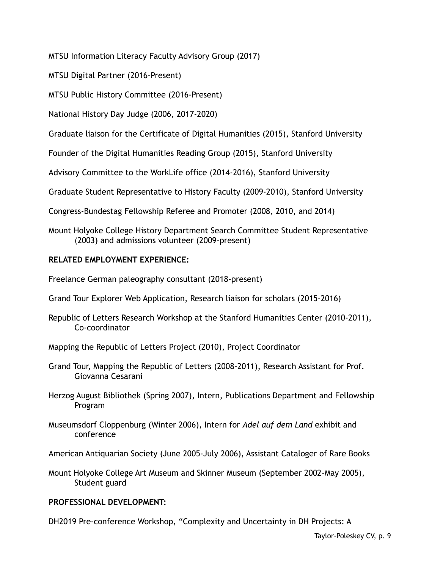MTSU Information Literacy Faculty Advisory Group (2017)

MTSU Digital Partner (2016-Present)

MTSU Public History Committee (2016-Present)

National History Day Judge (2006, 2017-2020)

Graduate liaison for the Certificate of Digital Humanities (2015), Stanford University

Founder of the Digital Humanities Reading Group (2015), Stanford University

Advisory Committee to the WorkLife office (2014-2016), Stanford University

Graduate Student Representative to History Faculty (2009-2010), Stanford University

Congress-Bundestag Fellowship Referee and Promoter (2008, 2010, and 2014)

Mount Holyoke College History Department Search Committee Student Representative (2003) and admissions volunteer (2009-present)

## **RELATED EMPLOYMENT EXPERIENCE:**

Freelance German paleography consultant (2018-present)

- Grand Tour Explorer Web Application, Research liaison for scholars (2015-2016)
- Republic of Letters Research Workshop at the Stanford Humanities Center (2010-2011), Co-coordinator
- Mapping the Republic of Letters Project (2010), Project Coordinator
- Grand Tour, Mapping the Republic of Letters (2008-2011), Research Assistant for Prof. Giovanna Cesarani
- Herzog August Bibliothek (Spring 2007), Intern, Publications Department and Fellowship Program
- Museumsdorf Cloppenburg (Winter 2006), Intern for *Adel auf dem Land* exhibit and conference
- American Antiquarian Society (June 2005-July 2006), Assistant Cataloger of Rare Books

Mount Holyoke College Art Museum and Skinner Museum (September 2002-May 2005), Student guard

### **PROFESSIONAL DEVELOPMENT:**

DH2019 Pre-conference Workshop, "Complexity and Uncertainty in DH Projects: A